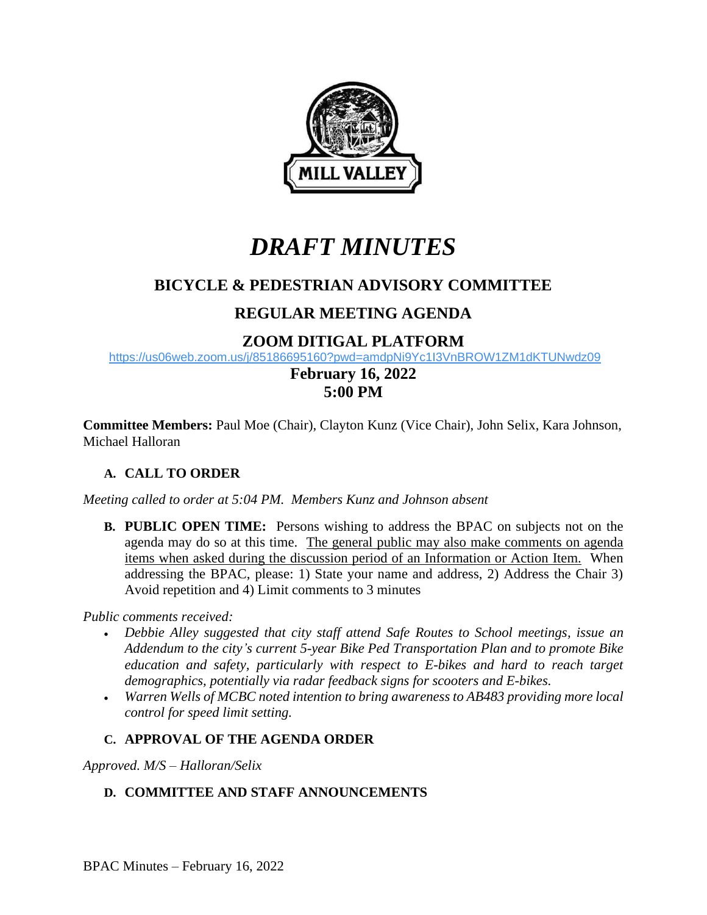

# *DRAFT MINUTES*

# **BICYCLE & PEDESTRIAN ADVISORY COMMITTEE**

# **REGULAR MEETING AGENDA**

## **ZOOM DITIGAL PLATFORM**

<https://us06web.zoom.us/j/85186695160?pwd=amdpNi9Yc1I3VnBROW1ZM1dKTUNwdz09>

## **February 16, 2022 5:00 PM**

**Committee Members:** Paul Moe (Chair), Clayton Kunz (Vice Chair), John Selix, Kara Johnson, Michael Halloran

## **A. CALL TO ORDER**

*Meeting called to order at 5:04 PM. Members Kunz and Johnson absent*

**B. PUBLIC OPEN TIME:** Persons wishing to address the BPAC on subjects not on the agenda may do so at this time. The general public may also make comments on agenda items when asked during the discussion period of an Information or Action Item. When addressing the BPAC, please: 1) State your name and address, 2) Address the Chair 3) Avoid repetition and 4) Limit comments to 3 minutes

*Public comments received:*

- *Debbie Alley suggested that city staff attend Safe Routes to School meetings, issue an Addendum to the city's current 5-year Bike Ped Transportation Plan and to promote Bike education and safety, particularly with respect to E-bikes and hard to reach target demographics, potentially via radar feedback signs for scooters and E-bikes.*
- *Warren Wells of MCBC noted intention to bring awareness to AB483 providing more local control for speed limit setting.*

## **C. APPROVAL OF THE AGENDA ORDER**

*Approved. M/S – Halloran/Selix*

## **D. COMMITTEE AND STAFF ANNOUNCEMENTS**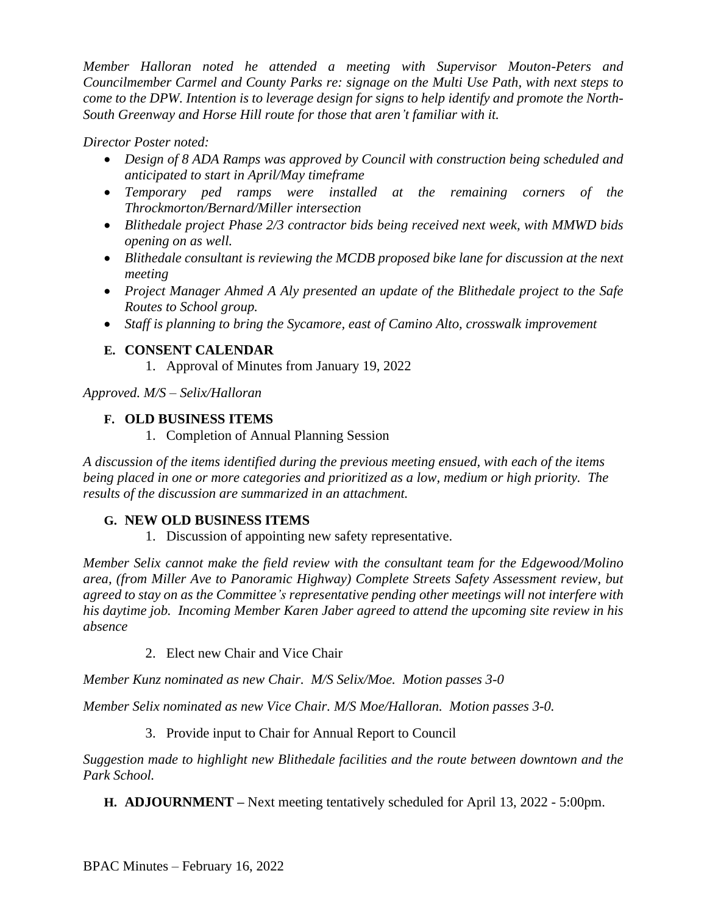*Member Halloran noted he attended a meeting with Supervisor Mouton-Peters and Councilmember Carmel and County Parks re: signage on the Multi Use Path, with next steps to come to the DPW. Intention is to leverage design for signs to help identify and promote the North-South Greenway and Horse Hill route for those that aren't familiar with it.*

### *Director Poster noted:*

- *Design of 8 ADA Ramps was approved by Council with construction being scheduled and anticipated to start in April/May timeframe*
- *Temporary ped ramps were installed at the remaining corners of the Throckmorton/Bernard/Miller intersection*
- *Blithedale project Phase 2/3 contractor bids being received next week, with MMWD bids opening on as well.*
- *Blithedale consultant is reviewing the MCDB proposed bike lane for discussion at the next meeting*
- *Project Manager Ahmed A Aly presented an update of the Blithedale project to the Safe Routes to School group.*
- *Staff is planning to bring the Sycamore, east of Camino Alto, crosswalk improvement*

### **E. CONSENT CALENDAR**

1. Approval of Minutes from January 19, 2022

*Approved. M/S – Selix/Halloran*

#### **F. OLD BUSINESS ITEMS**

1. Completion of Annual Planning Session

*A discussion of the items identified during the previous meeting ensued, with each of the items being placed in one or more categories and prioritized as a low, medium or high priority. The results of the discussion are summarized in an attachment.* 

#### **G. NEW OLD BUSINESS ITEMS**

1. Discussion of appointing new safety representative.

*Member Selix cannot make the field review with the consultant team for the Edgewood/Molino area, (from Miller Ave to Panoramic Highway) Complete Streets Safety Assessment review, but agreed to stay on as the Committee's representative pending other meetings will not interfere with his daytime job. Incoming Member Karen Jaber agreed to attend the upcoming site review in his absence*

2. Elect new Chair and Vice Chair

*Member Kunz nominated as new Chair. M/S Selix/Moe. Motion passes 3-0*

*Member Selix nominated as new Vice Chair. M/S Moe/Halloran. Motion passes 3-0.*

### 3. Provide input to Chair for Annual Report to Council

*Suggestion made to highlight new Blithedale facilities and the route between downtown and the Park School.*

**H. ADJOURNMENT –** Next meeting tentatively scheduled for April 13, 2022 - 5:00pm.